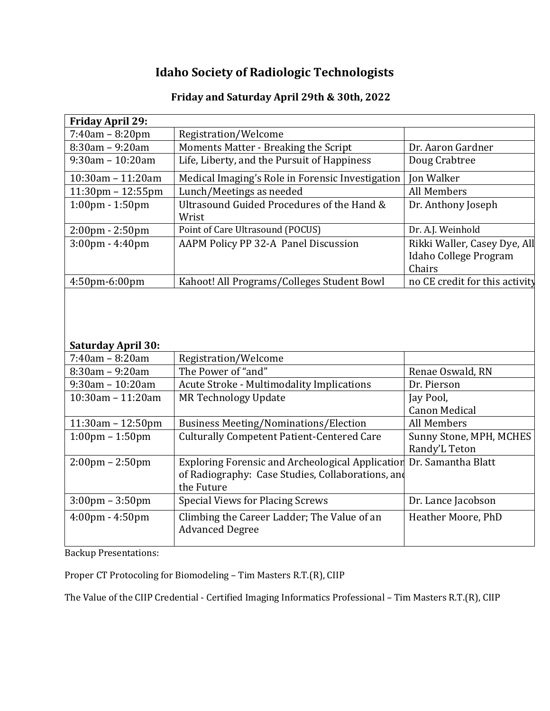## **Idaho Society of Radiologic Technologists**

## **Friday and Saturday April 29th & 30th, 2022**

| <b>Friday April 29:</b>                      |                                                                                                                            |                                                                 |  |  |
|----------------------------------------------|----------------------------------------------------------------------------------------------------------------------------|-----------------------------------------------------------------|--|--|
| $7:40am - 8:20pm$                            | Registration/Welcome                                                                                                       |                                                                 |  |  |
| 8:30am - 9:20am                              | Moments Matter - Breaking the Script                                                                                       | Dr. Aaron Gardner                                               |  |  |
| $9:30$ am - 10:20am                          | Life, Liberty, and the Pursuit of Happiness                                                                                | Doug Crabtree                                                   |  |  |
| 10:30am - 11:20am                            | Medical Imaging's Role in Forensic Investigation                                                                           | <b>Jon Walker</b>                                               |  |  |
| $11:30$ pm – $12:55$ pm                      | Lunch/Meetings as needed                                                                                                   | <b>All Members</b>                                              |  |  |
| 1:00pm - 1:50pm                              | Ultrasound Guided Procedures of the Hand &<br>Wrist                                                                        | Dr. Anthony Joseph                                              |  |  |
| 2:00pm - 2:50pm                              | Point of Care Ultrasound (POCUS)                                                                                           | Dr. A.J. Weinhold                                               |  |  |
| $3:00 \text{pm} - 4:40 \text{pm}$            | AAPM Policy PP 32-A Panel Discussion                                                                                       | Rikki Waller, Casey Dye, All<br>Idaho College Program<br>Chairs |  |  |
| 4:50pm-6:00pm                                | Kahoot! All Programs/Colleges Student Bowl                                                                                 | no CE credit for this activity                                  |  |  |
| <b>Saturday April 30:</b><br>7:40am - 8:20am | Registration/Welcome                                                                                                       |                                                                 |  |  |
| $8:30am - 9:20am$                            | The Power of "and"                                                                                                         | Renae Oswald, RN                                                |  |  |
| $9:30$ am - 10:20am                          | Acute Stroke - Multimodality Implications                                                                                  | Dr. Pierson                                                     |  |  |
| 10:30am - 11:20am                            | <b>MR Technology Update</b>                                                                                                | Jay Pool,                                                       |  |  |
|                                              |                                                                                                                            | <b>Canon Medical</b>                                            |  |  |
| $11:30am - 12:50pm$                          | <b>Business Meeting/Nominations/Election</b>                                                                               | All Members                                                     |  |  |
| $1:00 \text{pm} - 1:50 \text{pm}$            | <b>Culturally Competent Patient-Centered Care</b>                                                                          | Sunny Stone, MPH, MCHES                                         |  |  |
|                                              |                                                                                                                            | Randy'L Teton                                                   |  |  |
| $2:00 \text{pm} - 2:50 \text{pm}$            | <b>Exploring Forensic and Archeological Application</b><br>of Radiography: Case Studies, Collaborations, and<br>the Future | Dr. Samantha Blatt                                              |  |  |
| $3:00 \text{pm} - 3:50 \text{pm}$            | <b>Special Views for Placing Screws</b>                                                                                    | Dr. Lance Jacobson                                              |  |  |
| $4:00 \text{pm} - 4:50 \text{pm}$            | Climbing the Career Ladder; The Value of an<br><b>Advanced Degree</b>                                                      | Heather Moore, PhD                                              |  |  |

Backup Presentations:

Proper CT Protocoling for Biomodeling – Tim Masters R.T.(R), CIIP

The Value of the CIIP Credential - Certified Imaging Informatics Professional – Tim Masters R.T.(R), CIIP